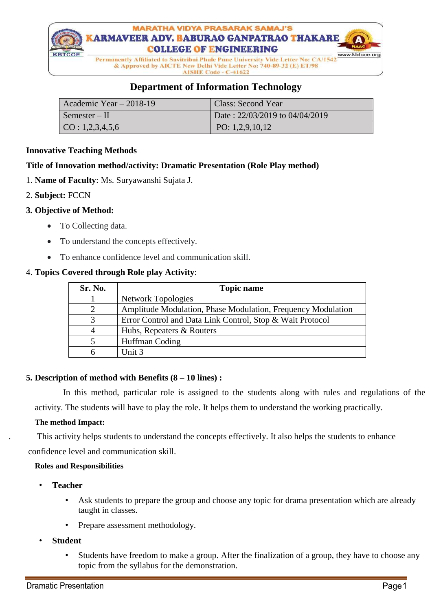

**AISHE Code - C-41622** 

# **Department of Information Technology**

| Academic Year $-2018-19$ | Class: Second Year             |
|--------------------------|--------------------------------|
| $\mid$ Semester – II     | Date: 22/03/2019 to 04/04/2019 |
| $\vert$ CO : 1,2,3,4,5,6 | PO: $1,2,9,10,12$              |

#### **Innovative Teaching Methods**

#### **Title of Innovation method/activity: Dramatic Presentation (Role Play method)**

- 1. **Name of Faculty**: Ms. Suryawanshi Sujata J.
- 2. **Subject:** FCCN

#### **3. Objective of Method:**

- To Collecting data.
- To understand the concepts effectively.
- To enhance confidence level and communication skill.

#### 4. **Topics Covered through Role play Activity**:

| Sr. No.                     | <b>Topic name</b>                                            |
|-----------------------------|--------------------------------------------------------------|
|                             | <b>Network Topologies</b>                                    |
| $\mathcal{D}_{\mathcal{L}}$ | Amplitude Modulation, Phase Modulation, Frequency Modulation |
| 3                           | Error Control and Data Link Control, Stop & Wait Protocol    |
| 4                           | Hubs, Repeaters & Routers                                    |
|                             | Huffman Coding                                               |
| h                           | Unit 3                                                       |

#### **5. Description of method with Benefits (8 – 10 lines) :**

 In this method, particular role is assigned to the students along with rules and regulations of the activity. The students will have to play the role. It helps them to understand the working practically.

#### **The method Impact:**

. This activity helps students to understand the concepts effectively. It also helps the students to enhance confidence level and communication skill.

#### **Roles and Responsibilities**

- **Teacher**
	- Ask students to prepare the group and choose any topic for drama presentation which are already taught in classes.
	- Prepare assessment methodology.
- **Student**
	- Students have freedom to make a group. After the finalization of a group, they have to choose any topic from the syllabus for the demonstration.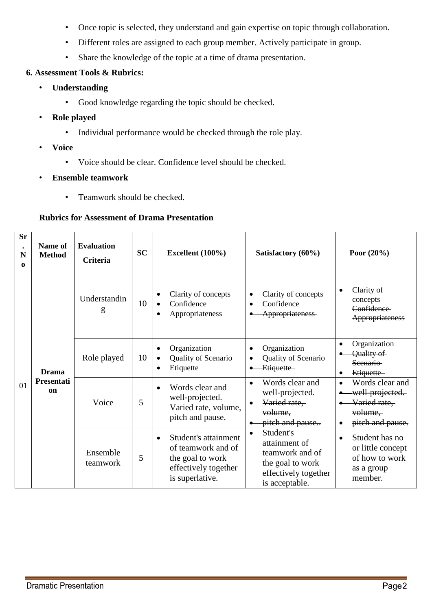- Once topic is selected, they understand and gain expertise on topic through collaboration.
- Different roles are assigned to each group member. Actively participate in group.
- Share the knowledge of the topic at a time of drama presentation.

### **6. Assessment Tools & Rubrics:**

- **Understanding** 
	- Good knowledge regarding the topic should be checked.
- **Role played**
	- Individual performance would be checked through the role play.
- **Voice**
	- Voice should be clear. Confidence level should be checked.
- **Ensemble teamwork**
	- Teamwork should be checked.

## **Rubrics for Assessment of Drama Presentation**

| <b>Sr</b><br>$\bullet$<br>N<br>$\bf{0}$ | Name of<br><b>Method</b>    | <b>Evaluation</b><br><b>Criteria</b>                                                                                                                                                                                                                                                                    | <b>SC</b>                                                                                                   | Excellent (100%)                                                                                            | Satisfactory (60%)                                                              | Poor $(20\%)$                                                                   |  |
|-----------------------------------------|-----------------------------|---------------------------------------------------------------------------------------------------------------------------------------------------------------------------------------------------------------------------------------------------------------------------------------------------------|-------------------------------------------------------------------------------------------------------------|-------------------------------------------------------------------------------------------------------------|---------------------------------------------------------------------------------|---------------------------------------------------------------------------------|--|
|                                         |                             | Understandin<br>g                                                                                                                                                                                                                                                                                       | 10                                                                                                          | Clarity of concepts<br>$\bullet$<br>Confidence<br>Appropriateness<br>$\bullet$                              | Clarity of concepts<br>$\bullet$<br>Confidence<br>$\bullet$<br>Appropriateness- | Clarity of<br>$\bullet$<br>concepts<br>Confidence<br>Appropriateness            |  |
|                                         | Drama                       | Role played                                                                                                                                                                                                                                                                                             | 10                                                                                                          | Organization<br>$\bullet$<br>Quality of Scenario<br>$\bullet$<br>Etiquette<br>٠                             | Organization<br>Quality of Scenario<br>Etiquette-                               | Organization<br>$\bullet$<br>Quality of<br>Seenario-<br>Etiquette-<br>$\bullet$ |  |
| 01                                      | Presentati<br><sub>on</sub> | $\bullet$<br>Words clear and<br>$\bullet$<br>well-projected.<br>5<br>Voice<br>$\bullet$<br>Varied rate, volume,<br>pitch and pause.<br>$\bullet$<br>Student's attainment<br>$\bullet$<br>of teamwork and of<br>Ensemble<br>5<br>the goal to work<br>teamwork<br>effectively together<br>is superlative. | Words clear and<br>well-projected.<br>Varied rate,<br>volume,<br>pitch and pause                            | Words clear and<br>$\bullet$<br>well-projected.<br>Varied rate,<br>volume,<br>pitch and pause.<br>$\bullet$ |                                                                                 |                                                                                 |  |
|                                         |                             |                                                                                                                                                                                                                                                                                                         | Student's<br>attainment of<br>teamwork and of<br>the goal to work<br>effectively together<br>is acceptable. | Student has no<br>$\bullet$<br>or little concept<br>of how to work<br>as a group<br>member.                 |                                                                                 |                                                                                 |  |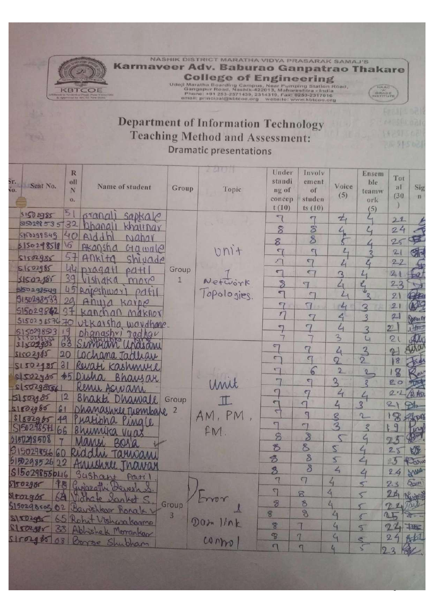

NASHIK DISTRICT MARATHA VIDYA PRASARAK SAMAJ'S Karmaveer Adv. Baburao Ganpatrao Thakare College of Engineering<br>
Udoji Maratha Boarding Campus, Near Pumping Station Road,<br>
Gangapur Road, Nashik-422013, Maharashtra - India<br>
Phone: +91 253-2571439, 2314319, Fax: 0253-2317016<br>
amail: principal@kbicoe.org website: 

> 54291568 150219 02

# **Department of Information Technology Teaching Method and Assessment: Dramatic presentations**

|                                       | R   |                                  |              | 201177      | Under                    | Involv                   |                            |                             |                     |               |
|---------------------------------------|-----|----------------------------------|--------------|-------------|--------------------------|--------------------------|----------------------------|-----------------------------|---------------------|---------------|
| sr.                                   |     |                                  |              |             |                          |                          |                            | Ensem                       | Tot                 |               |
| Seat No.                              | oll | Name of student                  | Group        |             | standi                   | ement                    | Voice                      | ble                         | al                  | Sig           |
| Vo.                                   | N   |                                  |              | Topic       | ng of                    | of                       | (5)                        | teamw                       | (30)                | n             |
|                                       | 0.  |                                  |              |             | concep                   | studen                   |                            | ork                         |                     |               |
|                                       |     |                                  |              |             | t(10)                    | ts(10)                   |                            | (5)                         |                     |               |
| 51502985                              | 51  | pranal<br>sapkale                |              |             |                          | 7                        | $\tau$                     |                             | 22                  |               |
| $5529853532$ bhanall                  |     | khaltnar                         |              |             | 8                        | $\mathbf{S}$             | 4                          | $\mathcal{L}_{\mathcal{A}}$ | 24                  |               |
| 5150299545                            |     | 40 Alddh<br>Nabar                |              |             |                          | 8                        |                            |                             |                     |               |
| 5150298518                            | 16  | Akansha<br>$C_1a$ wale           |              |             | 8                        |                          |                            |                             | 25                  |               |
| 51502985                              | 57  | ANKITO                           |              | $UN1+$      | $\mathcal{F}$            | $\overline{\mathbf{G}}$  | $L_{1}$                    |                             | 2                   | <b>SF</b>     |
| 51502985                              |     | Shivade<br>44 pragatl            | Group        |             | π                        | $\sigma$                 | $\mathcal{L}_1$            | ሪ                           | 22                  |               |
| 31502,985                             |     | $PQ+1$                           |              |             | $\blacksquare$           | $\tau$                   | $\mathbf{B}$               |                             | 21                  |               |
| 550298549                             |     | 39 VIShaka<br>more               | $\mathbf{1}$ | Network     | $\mathbb{Z}$             | $\overline{\mathbb{L}}$  | $\Delta$                   |                             | 23                  |               |
| 5150298533                            |     | 45 Rajeshway<br>Pdf1             |              | Topologies. | $\blacksquare$           | $\Gamma$                 | $L_4$                      |                             | 21                  |               |
|                                       |     | 29 Anya<br>Karpe                 |              |             | $\tau$                   | $\sqrt{ }$               | $L_{1}$                    | $\mathbf{z}$                | 21                  |               |
| $51502984297$ kanchan                 |     | Maknor                           |              |             | r                        | 7                        | 4                          | $\overline{3}$              | 21                  | <b>DROIT</b>  |
| $515029657670$ Utkarsha<br>5150298523 |     | wordhane-                        |              |             | $\blacktriangledown$     | $\tau$                   | 4                          | 3                           | 22                  | ita           |
|                                       |     | Dhanashvi<br>Jadhav              |              |             |                          |                          | $2$                        | $L_1$                       | 21                  |               |
| 31502985                              | 63  |                                  |              |             | $\sigma$                 | $\sigma$                 | $\overline{4}$             |                             | $\hat{\mathcal{P}}$ | What          |
| 51502965                              | 20  | Lochana Jadhay                   |              |             | $\sqrt{2}$               | $\sigma$                 | $\overline{Q}$             | $rac{3}{2}$                 | 18                  |               |
| 515024858                             |     | Revate Kashmure                  |              |             | $\sqrt{ }$               | 6                        | 2                          | $2-$                        | 8                   |               |
| 5/502485                              |     | \$5 Disha<br>Bhawsar             |              |             | $\overline{\phantom{0}}$ | e <sub>1</sub>           | $\mathbf{B}$               |                             | 20                  | 一位            |
| s 5029856                             |     | Renu Asivani                     |              | Unit        | $\sqrt{ }$               | $\sigma$                 | 4                          |                             | 2.1                 |               |
| 51503885                              | 2   | Bhakte Dhawall                   | Group        | $\mathbb T$ | G                        | $\sigma$                 |                            |                             |                     | @ Also        |
| 51802985<br>61                        |     | Dhanashree Mombale 2             |              |             | $\overline{\mathbf{z}}$  | $\overline{\mathcal{L}}$ | $\mathcal{L}_{\mathsf{I}}$ | $\overline{\mathbf{3}}$     | $\mathcal{Q}_-$     | $\mathcal{D}$ |
| s1802955<br>49                        |     | Puatibha Pingle                  |              | AM, PM      | $\blacksquare$           |                          | $\mathcal{R}$              | $2-$                        | $\mathscr{B}$       | STORY         |
| SI502985H 66                          |     | Bhumika<br>vuas                  |              | FM.         |                          | $\overline{\phantom{0}}$ | $\mathcal{B}$              | $\overline{\mathcal{E}}$    | $\mathbf{q}$        | Turg          |
| 550298508                             |     | Maney<br>Bora                    |              |             | 8                        | $\overline{\mathcal{S}}$ |                            | $1$                         | 25                  |               |
| 61502985660                           |     | Riddin Tarwan                    |              |             | $\tilde{\mathcal{D}}$    | 8                        | 5                          | $\mathcal{L}_{i}$           | 25                  | KR            |
| 515029852622                          |     | Anissarle                        |              |             | 3                        | $\delta$                 | $\sqrt{2}$                 | $\mathcal{L}_1$             | 23                  | Row           |
| S15029855046                          |     | Sushart<br>Pati                  |              |             | $\mathcal{B}$            | 8                        | 4                          | 4                           | 24                  | Anna          |
| $s_{1502985}$                         |     | PB Gyjazathi Devesh              |              |             | $\overline{\mathcal{A}}$ | $\sqrt{ }$               | 4                          | $5^{\circ}$                 | 23                  | Sport         |
|                                       |     | stronger 64 Victorie Sanket S.   |              |             | $\sqrt{ }$               | 8                        | $\lambda$                  |                             | 24 Nulper           |               |
|                                       |     | Sisozgasoz 02 Bartshkar Ronals V | Group        | Dron        | $\overline{\sigma}$      | 8                        | $\mathcal{L}_1$            |                             | 22 Tale             |               |
|                                       |     |                                  |              |             | 8                        | 8                        | $\epsilon$                 |                             | 25                  | $20 - 4$      |
|                                       |     | stronger 65 Rohat Visham Kome    |              | Dov  v      | 8                        |                          | 4                          | $\sqrt{2}$                  | 24#                 |               |
|                                       |     | Strozger 33 Abhishek Morankor    |              |             | $\mathfrak{B}$           | 7                        | $\epsilon$                 |                             | 24                  | 1461          |
|                                       |     | Strong 85 08 Boyse Shubham       |              | conno)      | $\Gamma$                 | $\mathcal{L}$            | 4                          | 5                           | 23                  |               |
|                                       |     |                                  |              |             |                          |                          |                            |                             |                     |               |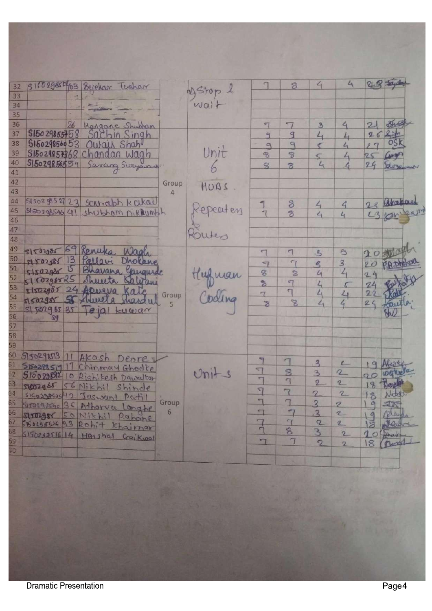| 32                   | 316029850/03 Bejekar Tushar                                                                                         |       |           |                          | 8                        | $\epsilon_{1}$           | 4                            | 28             |            |
|----------------------|---------------------------------------------------------------------------------------------------------------------|-------|-----------|--------------------------|--------------------------|--------------------------|------------------------------|----------------|------------|
| 33                   |                                                                                                                     |       | 2) Stop & |                          |                          |                          |                              |                |            |
| 34<br>35             |                                                                                                                     |       | wait      |                          |                          |                          |                              |                |            |
| 26<br>36             |                                                                                                                     |       |           | ष्टा                     |                          |                          | $\epsilon_{\rm i}$           |                |            |
| S15029855758<br>37   | Kangane Shubham<br>Sachin Singh                                                                                     |       |           |                          | $\mathcal{G}$            | $\overline{3}$           |                              | 26             |            |
| 515029856053<br>38   | Ourais Shah                                                                                                         |       |           | $\Omega$                 | $\mathbb{Z}$             | $L_{1}$<br>←             | $L_1$<br>4                   | 29             |            |
| 39                   | S15029857368 Chandan Wagh                                                                                           |       | Unit      | $\mathcal{B}$            | $\overline{\mathcal{E}}$ | $\subset$                |                              | 2S             |            |
| 40<br>S15029856559   |                                                                                                                     |       |           | 8                        | $\mathcal{B}$            | $L_{1}$                  | $\overline{\mathcal{L}}$     | 24             | Deryaware  |
| 41                   | Sarang Swyamant                                                                                                     |       |           |                          |                          |                          |                              |                |            |
| 42                   |                                                                                                                     | Group | HUBS      |                          |                          |                          |                              |                |            |
| 43                   |                                                                                                                     | 4     |           |                          |                          |                          |                              |                |            |
| 44                   | S13029852723 Sciencebh Kcikael                                                                                      |       |           |                          | 8                        | $\mathcal{L}_{1}$        | $\mathcal{L}_{1}$            |                | 23 Chapae  |
| 45                   | SISO298546 41 shubbom nikhumbh                                                                                      |       | Repeaters |                          | 8                        | 4                        | $\mathcal{L}_{\mathfrak{l}}$ |                | 23.50      |
| 46                   |                                                                                                                     |       |           |                          |                          |                          |                              |                |            |
| 47                   |                                                                                                                     |       | Routes    |                          |                          |                          |                              |                |            |
| 48                   |                                                                                                                     |       |           |                          |                          |                          |                              |                |            |
| 49<br>69<br>51502385 | Kenwka,<br>Wagle                                                                                                    |       |           | $\sqrt{ }$               | $\tau$                   | $\mathcal{S}$            | $\approx$                    |                | 20         |
| 50<br>13<br>MY02185  | Pallavi<br>Dholane                                                                                                  |       |           | $\overline{a}$           | $\tau$                   | $\mathbf{z}$             | $\overline{\mathbf{3}}$      | $20^{1}$       | P.R. Dhoko |
| 51<br>15<br>51502900 | Bhavana Gaugurde                                                                                                    |       |           | $\circ$                  | $\mathbf{S}$             | 4                        | $\mathcal{L}_{\mathsf{q}}$   | 24             |            |
| 52<br>510296825      | Shunta Belgani                                                                                                      |       | Hufman    | $\mathcal{B}$            | 57                       | $L_{1}$                  |                              | 24             |            |
| 53<br>54<br>55       | 51502985 24 Apuzua Kate                                                                                             |       |           | $\overline{\tau}$        | $\overline{ }$           | 4                        | 4                            | 22             |            |
|                      | grazgar 55 Shureta shardud                                                                                          | Group | Coding    | $\overline{\delta}$      | $\mathscr{B}$            | 4                        | 4                            | 24             | Quille     |
|                      | $s1s2g6535$ $e1g1kuwa^x$                                                                                            |       |           |                          |                          |                          |                              |                |            |
| 56<br>39             |                                                                                                                     |       |           |                          |                          |                          |                              |                |            |
|                      |                                                                                                                     |       |           |                          |                          |                          |                              |                |            |
| 58                   |                                                                                                                     |       |           |                          |                          |                          |                              |                |            |
|                      |                                                                                                                     |       |           |                          |                          |                          |                              |                |            |
| 5150298513           | Akash Deorey                                                                                                        |       |           |                          |                          | $\overline{3}$           | $\epsilon$                   |                |            |
|                      | 5150298519 17 Chinmay Ghodke                                                                                        |       | Unit-3    | 9                        | $\mathbf{S}$             | $\mathbf{B}$             | $\mathbb{Z}$                 | 9              |            |
|                      | 515029892 10 Rishikesh Dawulton                                                                                     |       |           | $\overline{\phantom{0}}$ | $\mathbb{I}$             | $\mathbf{2}$             | $\mathbf{z}$                 | $\sigma$       |            |
|                      | 63 SIGOZOST 56 Nikhil Shinde<br>64 SIGOZOSSO 12 Jaswant Partil<br>65 SIGOZOBSO 36 Attorva Longh<br>56 Nikhil Shinde |       |           | $\overline{ }$           | $\sqrt{ }$               |                          |                              | 18             |            |
|                      |                                                                                                                     | Group |           | $\overline{\mathbb{L}}$  | $\overline{\mathbb{I}}$  | $\overline{\mathcal{L}}$ | $\mathcal{L}$                | 18             | MARTIN     |
|                      | Sysocgesho 35 Atharva Longhe                                                                                        | 6     |           | $\overline{\mathbb{Z}}$  |                          | $\overline{\mathbf{3}}$  | 2                            | $\alpha$       | STR        |
|                      | stronger 50 Nikhil Rahane                                                                                           |       |           |                          | $\tau$                   | $\overline{3}$           | 2                            | $\frac{9}{18}$ | plands     |
|                      | SBOLOGEN 33 Rohit Khairnar                                                                                          |       |           | $\sqrt{ }$               | $\tau$<br>8              | Q                        | 2                            |                | Partir     |
| 68<br>59<br>10       | $S15029351614$ Harshal Gaikwal                                                                                      |       |           | $\overline{\phantom{0}}$ | $\overline{1}$           | 3                        | $\overline{2}$               |                | 10 Anais   |
|                      |                                                                                                                     |       |           |                          |                          | $\mathcal{D}$            | $\overline{2}$               | 18             | Densi      |
|                      |                                                                                                                     |       |           |                          |                          |                          |                              |                |            |
|                      |                                                                                                                     |       |           |                          |                          |                          |                              |                |            |
|                      |                                                                                                                     |       |           |                          |                          |                          |                              |                |            |
|                      |                                                                                                                     |       |           |                          |                          |                          |                              |                |            |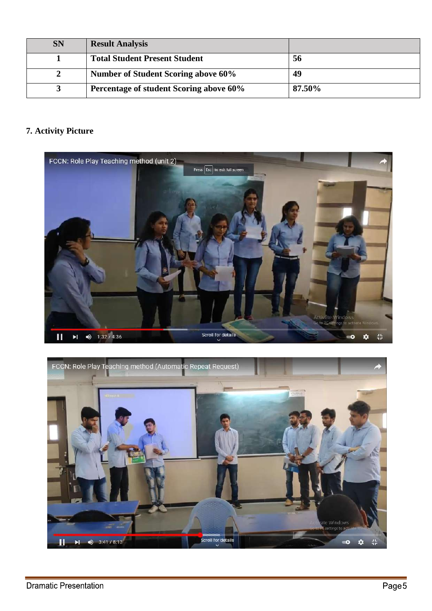| <b>SN</b> | <b>Result Analysis</b>                  |        |
|-----------|-----------------------------------------|--------|
|           | <b>Total Student Present Student</b>    | 56     |
|           | Number of Student Scoring above 60%     | 49     |
|           | Percentage of student Scoring above 60% | 87.50% |

# **7. Activity Picture**